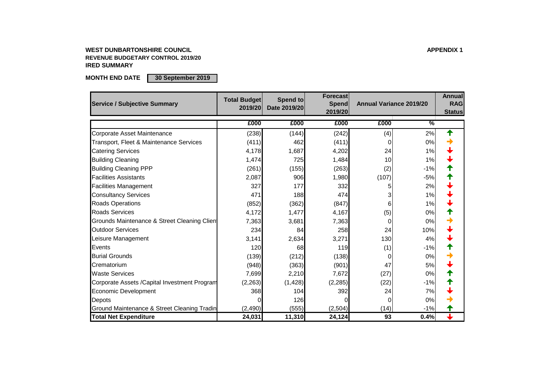#### **WEST DUNBARTONSHIRE COUNCIL APPENDIX 1 REVENUE BUDGETARY CONTROL 2019/20 IRED SUMMARY**

**MONTH END DATE 30 September 2019**

| <b>Service / Subjective Summary</b>           | <b>Total Budget</b><br>2019/20 | Spend to<br>Date 2019/20 | <b>Forecast</b><br><b>Spend</b><br>2019/20 | <b>Annual Variance 2019/20</b> |               | <b>Annual</b><br><b>RAG</b><br><b>Status</b> |
|-----------------------------------------------|--------------------------------|--------------------------|--------------------------------------------|--------------------------------|---------------|----------------------------------------------|
|                                               | £000                           | £000                     | £000                                       | £000                           | $\frac{9}{6}$ |                                              |
| Corporate Asset Maintenance                   | (238)                          | (144)                    | (242)                                      | (4)                            | 2%            | ↑                                            |
| Transport, Fleet & Maintenance Services       | (411)                          | 462                      | (411)                                      |                                | 0%            |                                              |
| <b>Catering Services</b>                      | 4,178                          | 1,687                    | 4,202                                      | 24                             | 1%            |                                              |
| <b>Building Cleaning</b>                      | 1,474                          | 725                      | 1,484                                      | 10                             | 1%            |                                              |
| <b>Building Cleaning PPP</b>                  | (261)                          | (155)                    | (263)                                      | (2)                            | $-1%$         |                                              |
| <b>Facilities Assistants</b>                  | 2,087                          | 906                      | 1,980                                      | (107)                          | $-5%$         |                                              |
| <b>Facilities Management</b>                  | 327                            | 177                      | 332                                        |                                | 2%            |                                              |
| <b>Consultancy Services</b>                   | 471                            | 188                      | 474                                        |                                | 1%            |                                              |
| <b>Roads Operations</b>                       | (852)                          | (362)                    | (847)                                      | 6                              | 1%            |                                              |
| <b>Roads Services</b>                         | 4,172                          | 1,477                    | 4,167                                      | (5)                            | 0%            |                                              |
| Grounds Maintenance & Street Cleaning Clien   | 7,363                          | 3,681                    | 7,363                                      |                                | 0%            |                                              |
| <b>Outdoor Services</b>                       | 234                            | 84                       | 258                                        | 24                             | 10%           |                                              |
| Leisure Management                            | 3,141                          | 2,634                    | 3,271                                      | 130                            | 4%            |                                              |
| Events                                        | 120                            | 68                       | 119                                        | (1)                            | $-1%$         |                                              |
| <b>Burial Grounds</b>                         | (139)                          | (212)                    | (138)                                      |                                | 0%            |                                              |
| Crematorium                                   | (948)                          | (363)                    | (901)                                      | 47                             | 5%            |                                              |
| <b>Waste Services</b>                         | 7,699                          | 2,210                    | 7,672                                      | (27)                           | 0%            |                                              |
| Corporate Assets / Capital Investment Program | (2,263)                        | (1, 428)                 | (2, 285)                                   | (22)                           | $-1%$         |                                              |
| <b>Economic Development</b>                   | 368                            | 104                      | 392                                        | 24                             | 7%            |                                              |
| Depots                                        |                                | 126                      |                                            |                                | 0%            |                                              |
| Ground Maintenance & Street Cleaning Tradin   | (2,490)                        | (555)                    | (2,504)                                    | (14)                           | $-1%$         |                                              |
| <b>Total Net Expenditure</b>                  | 24,031                         | 11,310                   | 24,124                                     | 93                             | 0.4%          |                                              |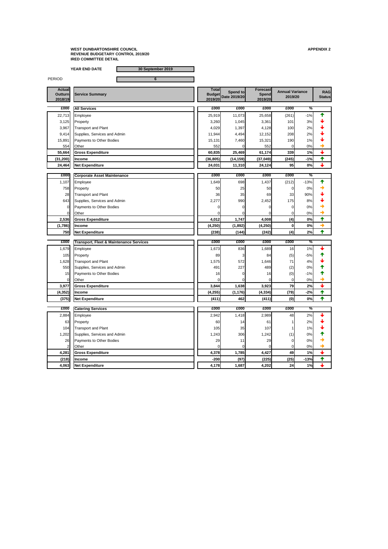**YEAR END DATE 30 September 2019**

PERIOD 6

**Actual Outturn 2018/19 Total Budget 2019/20 Date 2019/20 Spend to Forecast Spend 2019/20 RAG Status £000 £000 £000 £000 £000 %** 22,713 Employee 25,919 11,073 25,658 (261) -1% 3,125 Property 3,260 1,045 3,361 101 3% 3,967 Transport and Plant  $\begin{array}{|c|c|c|c|c|c|c|c|c|} \hline \end{array}$  4,029 1,397 4,128 100 2%  $\begin{array}{|c|c|c|c|c|c|c|c|} \hline \end{array}$ 9,414 Supplies, Services and Admin 11,944 11,944 4,494 12,152 208 2%  $\downarrow$ 15,891 Payments to Other Bodies 15,131 7,460 15,321 190 1% 554 Other  $\overline{0}$  0  $\overline{0}$  0  $\overline{0}$  0  $\overline{0}$  0  $\overline{0}$  0  $\overline{0}$  0  $\overline{0}$  0  $\overline{0}$ **55,664 Gross Expenditure 60,835 25,469 61,174 339 1% (31,200) Income (36,805) (14,159) (37,049) (245) -1% 24,464 Net Expenditure 24,031 11,310 24,124 95 0% £000 £000 £000 £000 £000 % Corporate Asset Maintenance**  1,107 Employee 20 **1,107** Employee 20 1,437 Employee 21 212 Females 2012 1,437  $\frac{1}{2}$   $\frac{1}{2}$   $\frac{1}{2}$   $\frac{1}{2}$   $\frac{1}{2}$   $\frac{1}{2}$   $\frac{1}{2}$   $\frac{1}{2}$   $\frac{1}{2}$   $\frac{1}{2}$   $\frac{1}{2}$   $\frac{1}{2}$   $\frac{1}{2}$   $\frac{1}{2}$   $\$ 758 Property 50 25 50 0 0% 28 Transport and Plant 36 35 69 33 90% 643 Supplies, Services and Admin 2,277 990 2,452 175 8% 0 Payments to Other Bodies 0 0 0 0 0%  $\begin{array}{|c|c|c|c|c|c|}\hline \text{Other} & & & \text{otherwise} \end{array}$ **2,536 Gross Expenditure 4,012 1,747 4,008 (4) 0% (1,786) Income (4,250) (1,892) (4,250) 0 0% 750 Net Expenditure (238) (144) (242) (4) 2% £000 £000 £000 £000 £000 % Transport, Fleet & Maintenance ServicesService Summary Annual Variance 2019/20 All Services**

| 1,679    | Employee                     | 1,673    | 836      | 1,689    | 16   | 1%     |                      |
|----------|------------------------------|----------|----------|----------|------|--------|----------------------|
| 105      | Property                     | 89       |          | 84       | (5)  | $-5%$  |                      |
| 1,628    | <b>Transport and Plant</b>   | 1,575    | 572      | 1,646    | 71   | 4%     |                      |
| 550      | Supplies, Services and Admin | 491      | 227      | 489      | (2)  | 0%     |                      |
| 15       | Payments to Other Bodies     | 16       |          | 16       | (0)  | $-1%$  |                      |
|          | Other                        |          |          |          |      | 0%     |                      |
| 3,977    | <b>Gross Expenditure</b>     | 3,844    | 1,638    | 3,923    | 79   | 2%     | $\ddot{\phantom{0}}$ |
| (4, 352) | <b>Income</b>                | (4, 255) | (1, 176) | (4, 334) | (79) | $-2%$  |                      |
| (375)    | <b>Net Expenditure</b>       | (411)    | 462      | (411)    | (0)  | 0%     |                      |
|          |                              |          |          |          |      |        |                      |
| £000     | <b>Catering Services</b>     | £000     | £000     | £000     | £000 | ℅      |                      |
| 2,884    | Employee                     | 2,942    | 1,418    | 2,989    | 48   | 2%     |                      |
| 63       | Property                     | 60       | 14       | 61       |      | 2%     |                      |
| 104      | <b>Transport and Plant</b>   | 105      | 35       | 107      |      | 1%     |                      |
| 1,202    | Supplies, Services and Admin | 1,243    | 306      | 1,242    | (1)  | 0%     |                      |
| 26       | Payments to Other Bodies     | 29       | 11       | 29       |      | 0%     |                      |
|          | Other                        |          |          |          |      | 0%     |                      |
| 4,281    | <b>Gross Expenditure</b>     | 4,378    | 1,785    | 4,427    | 49   | 1%     | $\downarrow$         |
| (218)    | Income                       | $-200$   | (97)     | (225)    | (25) | $-13%$ |                      |
| 4,063    | <b>Net Expenditure</b>       | 4,178    | 1,687    | 4,202    | 24   | 1%     |                      |
|          |                              |          |          |          |      |        |                      |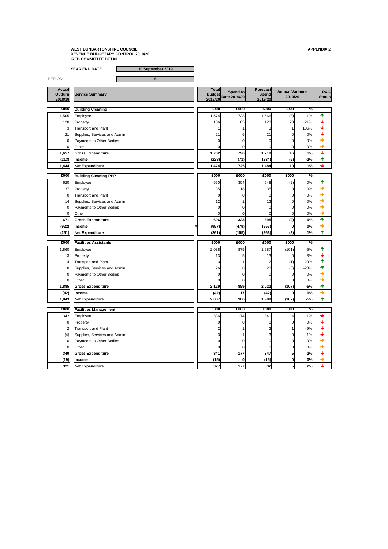**YEAR END DATE 30 September 2019**

PERIOD 6

| £000  | <b>Building Cleaning</b>        | £000  | £000       | £000  | £000            | %     |  |
|-------|---------------------------------|-------|------------|-------|-----------------|-------|--|
| ,505  | Employee                        | 1,574 | 723        | 1,566 | (8)             | $-1%$ |  |
| 128   | Property                        | 106   | 65         | 128   | 23              | 21%   |  |
| 3I    | <b>Transport and Plant</b>      |       |            |       |                 | 106%  |  |
| 21    | Supplies, Services and Admin    | 21    | 61         | 21    |                 | 0%    |  |
|       | <b>Payments to Other Bodies</b> |       |            |       |                 | 0%    |  |
|       | <b>Other</b>                    |       |            |       |                 | 0%    |  |
| 1,657 | <b>Gross Expenditure</b>        | 1,702 | 796        | 1,718 | 16              | 1%    |  |
| (213) | <b>Income</b>                   | (228) | (71)       | (234) | (6)             | $-2%$ |  |
| 1,444 | Net Expenditure                 | 1,474 | <b>725</b> | 1,484 | 10 <sub>1</sub> | $1\%$ |  |

| £000  | <b>Building Cleaning PPP</b> | £000  | £000  | £000  | £000 | $\frac{1}{2}$ |  |
|-------|------------------------------|-------|-------|-------|------|---------------|--|
| 620   | Employee                     | 650   | 304   | 648   | (2)  | 0%            |  |
| 37    | Property                     | 35    | 18    | 35    |      | 0%            |  |
| 01    | <b>Transport and Plant</b>   |       |       |       |      | 0%            |  |
| 14    | Supplies, Services and Admin | 12    |       | 12    |      | 0%            |  |
| 01    | Payments to Other Bodies     |       |       |       |      | 0%            |  |
|       | <b>Other</b>                 |       |       |       |      | 0%            |  |
| 671   | <b>Gross Expenditure</b>     | 696   | 323   | 695   | (2)  | 0%            |  |
| (922) | <b>Income</b>                | (957) | (479) | (957) |      | 0%            |  |
| (251) | <b>Net Expenditure</b>       | (261) | (155) | (263) | (2)  | 1%            |  |

|                                                          | 2018/19 |  | 2019/20 | Date 2019/20 | <b>Spend</b><br>2019/20 | 2019/20 | Statusl |
|----------------------------------------------------------|---------|--|---------|--------------|-------------------------|---------|---------|
| cuuu<br>cuuu<br>cuuu<br>cuuu<br>سسه<br>Duilding Clossing |         |  |         |              |                         | 0/2     |         |

| £000           | <b>Facilities Assistants</b> | £000  | £000 | £000  | £000         | $\frac{0}{0}$ |   |
|----------------|------------------------------|-------|------|-------|--------------|---------------|---|
| 1,860          | Employee                     | 2,088 | 875  | 1,987 | (101)        | $-5%$         |   |
| 13             | Property                     | 13    |      | 13    |              | 3%            |   |
|                | <b>Transport and Plant</b>   |       |      |       | (1)          | $-29%$        |   |
| 8              | Supplies, Services and Admin | 26    |      | 20    | (6)          | $-23%$        |   |
| $\Omega$       | Payments to Other Bodies     |       |      |       |              | 0%            |   |
| 0              | Other                        |       |      |       |              | 0%            |   |
| 1,885          | <b>Gross Expenditure</b>     | 2,129 | 889  | 2,022 | (107)        | $-5%$         |   |
| (42)           | <b>Income</b>                | (42)  | 17   | (42)  | O            | 0%            | → |
| 1,843          | <b>Net Expenditure</b>       | 2,087 | 906  | 1,980 | (107)        | $-5%$         |   |
|                |                              |       |      |       |              |               |   |
|                |                              |       |      |       |              |               |   |
| £000           | <b>Facilities Management</b> | £000  | £000 | £000  | £000         | $\%$          |   |
| 342            | Employee                     | 336   | 174  | 341   |              | 1%            |   |
| $\overline{0}$ | Property                     |       |      |       | <sup>n</sup> | 0%            |   |
|                | <b>Transport and Plant</b>   |       |      |       |              | 49%           |   |
| (4)            | Supplies, Services and Admin |       |      |       |              | 1%            |   |
| $\Omega$       | Payments to Other Bodies     |       |      |       |              | $0\%$         |   |
| $\mathbf 0$    | Other                        |       |      |       | 0            | 0%            |   |
| 340            | <b>Gross Expenditure</b>     | 341   | 177  | 347   |              | 2%            |   |
| (19)           | <b>Income</b>                | (15)  |      | (15)  | 0            | 0%            | → |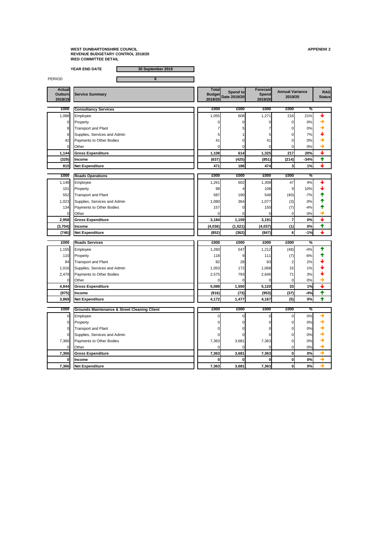**YEAR END DATE 30 September 2019**

PERIOD 6 **Actual Outturn 2018/19 Total Budget 2019/20**<br> **Date 2019/20**<br>
Date 2019/20
<br>
Date 2019/20
<br>
Date 2019/20
<br>
2019/20
<br>
2019/20
<br>
2019/20
<br>
2019/20
<br>
2019/20
<br>
2019/20
<br>
2019/20
<br>
2019/20
<br>
2019/20
<br>
2019/20
<br>
2019/20
<br>
2019/20
<br>
2019/20
<br>
2019/20
<br>
2019/20
<br> **Spend to Forecast Spend 2019/20 RAG 2019/20 £000 £000 £000 £000 £000 % Consultancy Services** 1,088 Employee ● 608 1,271 216 21% ◆ 0 Property 0 0 0 0 0% 8 Transport and Plant  $\begin{array}{ccc} 8 & 7 & 5 & 7 & 0 & 0 \end{array}$ 6 Supplies, Services and Admin  $\begin{array}{ccc} 6 & 5 & 1 & 5 \end{array}$   $\begin{array}{ccc} 1 & 5 & 5 \end{array}$   $\begin{array}{ccc} 0 & 7\% & \bullet \end{array}$  $42$  Payments to Other Bodies  $41$   $41$  0  $41$  0  $41$  0 0%  $41$ 0 Other 0 0 0 0 0% **1,144 Gross Expenditure 1,108 614 1,325 217 20% (329) Income (637) (425) (851) (214) -34% 815 Net Expenditure 188** 474 3 1% ◆ **£000 £000 £000 £000 £000 % Roads Operations** 1,148 Employee ● 602 1,308 47 4% ◆ 101 Property 108 108 98 4 108 9 10%  $\frac{1}{2}$ 552 Transport and Plant **190** 190 587 190 548  $(40)$  57 1,023 Supplies, Services and Admin 1,080 1,080 364 1,077 (3) 0% 1 134 Payments to Other Bodies **157** 157 0 150 150 150 150 150 17 0 Other 0 0 0 0 0% **2,958 Gross Expenditure 3,184 1,159 3,191 7 0% (3,704) Income (4,036) (1,521) (4,037) (1) 0% (746) Net Expenditure (852) (362) (847) 6 -1%**

| £000           | <b>Roads Services</b>                                   | £000  | £000  | £000  | £000         | %             |               |
|----------------|---------------------------------------------------------|-------|-------|-------|--------------|---------------|---------------|
| 1,155          | Employee                                                | 1,260 | 547   | 1,212 | (48)         | $-4%$         |               |
| 110            | Property                                                | 118   |       | 111   | (7)          | $-6%$         |               |
| 84             | <b>Transport and Plant</b>                              | 82    | 28    | 83    |              | 2%            |               |
| 1,016          | Supplies, Services and Admin                            | 1,053 | 172   | 1,068 | 15           | 1%            |               |
| 2,479          | Payments to Other Bodies                                | 2,575 | 793   | 2,646 | 71           | 3%            |               |
|                | Other                                                   |       |       |       |              | 0%            |               |
| 4,844          | <b>Gross Expenditure</b>                                | 5,088 | 1,550 | 5,120 | 33           | 1%            |               |
| (975)          | <b>Income</b>                                           | (916) | (73)  | (953) | (37)         | $-4%$         |               |
| 3,869          | <b>Net Expenditure</b>                                  | 4,172 | 1,477 | 4,167 | (5)          | 0%            |               |
|                |                                                         |       |       |       |              |               |               |
|                |                                                         |       |       |       |              |               |               |
| £000           | <b>Grounds Maintenance &amp; Street Cleaning Client</b> | £000  | £000  | £000  | £000         | $\frac{0}{0}$ |               |
| <sup>0</sup>   | Employee                                                |       |       |       | $\Omega$     | $0\%$         |               |
| $\overline{0}$ | Property                                                |       |       |       |              | $0\%$         |               |
|                | <b>Transport and Plant</b>                              |       |       |       |              | 0%            |               |
| $\overline{0}$ | Supplies, Services and Admin                            |       |       |       |              | $0\%$         |               |
| 7,366          | Payments to Other Bodies                                | 7,363 | 3,681 | 7,363 |              | $0\%$         |               |
| $\overline{0}$ | Other                                                   |       |       |       | 0            | 0%            |               |
| 7,366          | <b>Gross Expenditure</b>                                | 7,363 | 3,681 | 7,363 | $\mathbf{0}$ | 0%            | →             |
| <sup>0</sup>   | <b>Income</b>                                           |       |       |       | $\mathbf{0}$ | 0%            | $\rightarrow$ |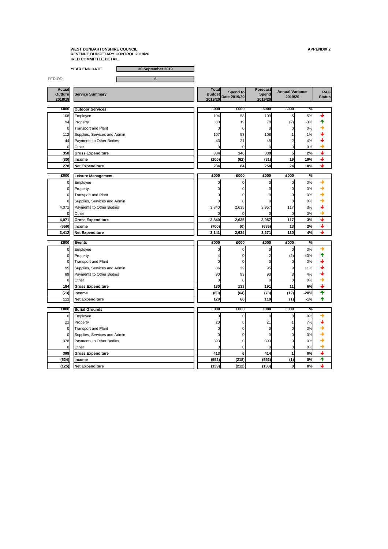**YEAR END DATE 30 September 2019**

PERIOD 6

**Actual Outturn 2018/19**

**Total Budget 2019/20 Spend to** Service Summary<br> **Date 2019/20**<br>
2019/20
2019/20
2019/20
2019/20
2019/20
2019/20
2019/20
2019/20
2019/20
2019/20
2019/20
2019/20
2019/20
2019 **Forecast Spend 2019/20 2019/20**

**RAG** 

| £000           | <b>Outdoor Services</b>         | £000  | £000 | £000 | £000 | $\frac{1}{\sqrt{2}}$ |  |
|----------------|---------------------------------|-------|------|------|------|----------------------|--|
| 108            | Employee                        | 104   | 53   | 109  | 5    | 5%                   |  |
| 94             | Property                        | 80    | 19   | 78   | (2)  | $-3%$                |  |
| $\overline{0}$ | <b>Transport and Plant</b>      |       | 01   |      |      | 0%                   |  |
| 112            | Supplies, Services and Admin    | 107   | 53   | 108  |      | $1\%$                |  |
| 44             | <b>Payments to Other Bodies</b> | 43    | 21   | 45   |      | 4%                   |  |
|                | <b>Other</b>                    |       |      |      |      | 0%                   |  |
| <b>358</b>     | <b>Gross Expenditure</b>        | 334   | 146  | 339  |      | 2%                   |  |
| (80)           | <b>Income</b>                   | (100) | (62) | (81) | 19   | 19%                  |  |
| 278            | Net Expenditure                 | 234   | 84   | 258  | 24   | 10%                  |  |

| £000  | <b>Leisure Management</b>    | £000  | £000  | £000  | £000            | $\overline{\%}$ |  |
|-------|------------------------------|-------|-------|-------|-----------------|-----------------|--|
|       | Employee                     |       |       |       | $\Omega$        | $0\%$           |  |
|       | Property                     |       |       |       | 0               | 0%              |  |
|       | <b>Transport and Plant</b>   |       | ΩI    |       | $\Omega$        | 0%              |  |
|       | Supplies, Services and Admin |       |       |       | 0               | $0\%$           |  |
| 4,071 | Payments to Other Bodies     | 3,840 | 2,635 | 3,957 | 117             | 3%              |  |
|       | <b>Other</b>                 |       |       |       |                 | 0%              |  |
| 4,071 | <b>Gross Expenditure</b>     | 3,840 | 2,635 | 3,957 | 117             | 3%              |  |
| (659) | <b>Income</b>                | (700) | (0)   | (686) | 13 <sub>1</sub> | 2%              |  |
| 3,412 | <b>Net Expenditure</b>       | 3,141 | 2,634 | 3,271 | 130             | 4%              |  |

| £000           | <b>Events</b>                | £000         | £000 | £000 | £000           | $\frac{1}{2}$ |                 |
|----------------|------------------------------|--------------|------|------|----------------|---------------|-----------------|
|                | Employee                     |              |      |      | $\overline{0}$ | 0%            |                 |
| ΟI             | Property                     |              |      |      | (2)            | $-40%$        |                 |
| Οl             | <b>Transport and Plant</b>   |              |      |      | $\overline{0}$ | 0%            |                 |
| 95             | Supplies, Services and Admin | 86           | 39   | 95   | 9              | 11%           |                 |
| 89             | Payments to Other Bodies     | 90           | 93   | 93   | 3              | 4%            |                 |
|                | Other                        |              |      |      | $\overline{0}$ | 0%            |                 |
| 184            | <b>Gross Expenditure</b>     | 180          | 133  | 191  | 11             | 6%            |                 |
| (73)           | <b>Income</b>                | (60)         | (64) | (73) | (12)           | $-20%$        | $\blacklozenge$ |
| 111            | Net Expenditure              | 120          | 68   | 119  | (1)            | $-1%$         |                 |
| £000           | <b>Burial Grounds</b>        | £000         | £000 | £000 | £000           | $\frac{1}{2}$ |                 |
|                |                              |              |      |      |                |               |                 |
|                | Employee                     |              |      | O    | $\Omega$       | 0%            |                 |
| 21             | Property                     | 20           | 6    | 21   |                | 7%            |                 |
| Οl             | <b>Transport and Plant</b>   |              |      |      | $\Omega$       | 0%            |                 |
|                | Supplies, Services and Admin |              |      |      | $\Omega$       | 0%            |                 |
| 378            | Payments to Other Bodies     | 393          |      | 393  | ΩI             | 0%            |                 |
| $\overline{O}$ | Other                        | <sup>O</sup> |      |      | 0l             | 0%            |                 |

**399 Gross Expenditure 413 6 414 1 0%**

**(524) Income (552) (218) (552) (1) 0% (125) Net Expenditure (139) (212) (138) 0 0%**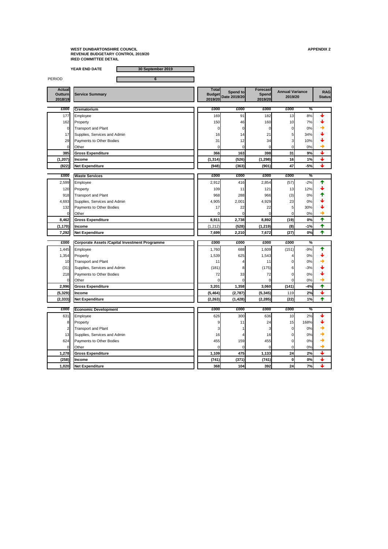**YEAR END DATE 30 September 2019**

PERIOD 6

**Actual Outturn 2018/19**

**2019/20**

**Total Budget Spend to** Service Summary<br> **Date 2019/20**<br>
2019/20
2019/20
2019/20
2019/20
2019/20
2019/20
2019/20
2019/20
2019/20
2019/20
2019/20
2019/20
2019/20
2019 **Forecast Spend 2019/20 2019/20**

**RAG** 

| £000      | <b>Crematorium</b>              | £000            | £000  | £000     | £000            | $\overline{\%}$ |  |
|-----------|---------------------------------|-----------------|-------|----------|-----------------|-----------------|--|
| 177       | Employee                        | 169             | 91    | 182      | 13 <sub>1</sub> | 8%              |  |
| 162       | Property                        | 150             | 46    | 160      | 10              | 7%1             |  |
| 0         | Transport and Plant             |                 |       |          | 0               | 0%              |  |
| 17        | Supplies, Services and Admin    | 16 <sub>l</sub> | 14    | 21       | 5               | 34%             |  |
| <b>29</b> | <b>Payments to Other Bodies</b> | 31              | 12    | 34       | 3               | 10%             |  |
| 01        | <b>Other</b>                    |                 |       |          |                 | 0%              |  |
| 385       | <b>Gross Expenditure</b>        | 366             | 163   | 398      | 31              | 9%              |  |
| (1, 207)  | <b>Income</b>                   | (1, 314)        | (526) | (1, 298) | 16              | 1%              |  |
| (822)     | Net Expenditure                 | (948)           | (363) | (901)    | 47              | $-5%$           |  |

| £000     | <b>Waste Services</b>           | £000     | £000  | £000     | £000            | $\overline{\%}$ |  |
|----------|---------------------------------|----------|-------|----------|-----------------|-----------------|--|
| 2,599    | Employee                        | 2,912    | 416   | 2,854    | (57)            | $-2%$           |  |
| 120      | Property                        | 109      | 11    | 121      | 13 <sub>1</sub> | 12%             |  |
| 918      | <b>Transport and Plant</b>      | 968      | 288   | 966      | (3)             | 0%              |  |
| 4,693    | Supplies, Services and Admin    | 4,905    | 2,001 | 4,929    | 23              | 0%              |  |
| 132      | <b>Payments to Other Bodies</b> | 17       | 22    | 22       |                 | 30%             |  |
|          | <b>Other</b>                    |          |       |          |                 | 0%              |  |
| 8,462    | <b>Gross Expenditure</b>        | 8,911    | 2,738 | 8,892    | (19)            | 0%              |  |
| (1, 170) | <b>Income</b>                   | (1, 212) | (528) | (1, 219) | (8)             | $-1%$           |  |
| 7,292    | <b>Net Expenditure</b>          | 7,699    | 2,210 | 7,672    | (27)            | 0%              |  |

| £000           | <b>Corporate Assets / Capital Investment Programme</b> | £000     | £000     | £000     | £000     | $\%$  |                          |
|----------------|--------------------------------------------------------|----------|----------|----------|----------|-------|--------------------------|
| 1,445          | Employee                                               | 1,760    | 688      | 1,609    | (151)    | $-9%$ |                          |
| 1,354          | Property                                               | 1,539    | 625      | 1,543    |          | 0%    |                          |
| 10             | <b>Transport and Plant</b>                             |          |          | 11       |          | 0%    |                          |
| (31)           | Supplies, Services and Admin                           | (181)    |          | (175)    | 6        | $-3%$ |                          |
| 218            | Payments to Other Bodies                               | 72       | 33       | 72       |          | 0%    |                          |
|                | Other                                                  |          |          |          |          | 0%    |                          |
| 2,996          | <b>Gross Expenditure</b>                               | 3,201    | 1,358    | 3,060    | (141)    | $-4%$ |                          |
| (5, 329)       | <b>Income</b>                                          | (5, 464) | (2,787)  | (5, 345) | 119      | 2%    |                          |
| (2, 333)       | <b>Net Expenditure</b>                                 | (2, 263) | (1, 428) | (2, 285) | (22)     | 1%    | $\blacklozenge$          |
|                |                                                        |          |          |          |          |       |                          |
|                |                                                        |          |          |          |          |       |                          |
| £000           | <b>Economic Development</b>                            | £000     | £000     | £000     | £000     | $\%$  |                          |
| 631            | Employee                                               | 626      | 300      | 636      | 10       | 2%    |                          |
| 8 <sup>1</sup> | Property                                               |          | 11       | 24       | 15       | 168%  |                          |
|                | <b>Transport and Plant</b>                             |          |          |          |          | 0%    |                          |
| 13             | Supplies, Services and Admin                           | 16       |          | 16       |          | 0%    |                          |
| 624            | Payments to Other Bodies                               | 455      | 159      | 455      |          | 0%    |                          |
| $\overline{0}$ | Other                                                  |          |          |          | 0        | 0%    |                          |
| 1,278          | <b>Gross Expenditure</b>                               | 1,109    | 475      | 1,133    | 24       | 2%    |                          |
| (258)          | <b>Income</b>                                          | (741)    | (371)    | (741)    | $\bf{0}$ | 0%    | $\color{red} \downarrow$ |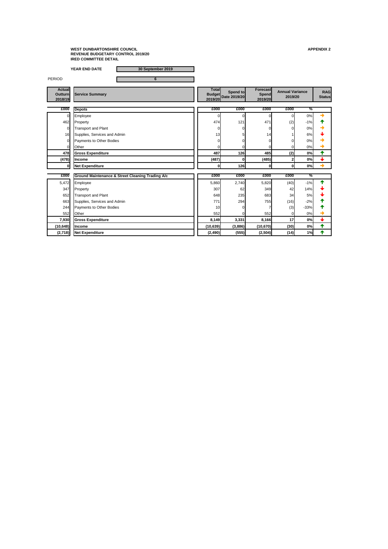**YEAR END DATE 30 September 2019**

| <b>PERIOD</b>                              | $6\phantom{1}6$                                             |                         |                                        |                                            |                                   |               |                             |
|--------------------------------------------|-------------------------------------------------------------|-------------------------|----------------------------------------|--------------------------------------------|-----------------------------------|---------------|-----------------------------|
| <b>Actual</b><br><b>Outturn</b><br>2018/19 | <b>Service Summary</b>                                      | <b>Total</b><br>2019/20 | <b>Spend to</b><br>Budget Date 2019/20 | <b>Forecast</b><br><b>Spend</b><br>2019/20 | <b>Annual Variance</b><br>2019/20 |               | <b>RAG</b><br><b>Status</b> |
| £000                                       | <b>Depots</b>                                               | £000                    | £000                                   | £000                                       | £000                              | $\frac{0}{2}$ |                             |
| $\overline{0}$                             | Employee                                                    | $\Omega$                | 0                                      | 0                                          | 0                                 | 0%            |                             |
| 462                                        | Property                                                    | 474                     | 121                                    | 471                                        | (2)                               | $-1%$         |                             |
| $\overline{0}$                             | <b>Transport and Plant</b>                                  | 0                       |                                        |                                            | 0                                 | 0%            |                             |
| 16                                         | Supplies, Services and Admin                                | 13                      |                                        | 14                                         |                                   | 6%            |                             |
| $\Omega$                                   | <b>Payments to Other Bodies</b>                             |                         |                                        |                                            | O                                 | 0%            |                             |
|                                            | Other                                                       |                         |                                        |                                            | 0                                 | 0%            |                             |
| 478                                        | <b>Gross Expenditure</b>                                    | 487                     | 126                                    | 485                                        | (2)                               | 0%            | $\blacklozenge$             |
| (478)                                      | <b>Income</b>                                               | (487)                   | 0                                      | (485)                                      | $\boldsymbol{2}$                  | 0%            | $\bigstar$                  |
| $\bf{0}$                                   | <b>Net Expenditure</b>                                      | $\mathbf 0$             | 126                                    | $\bf{0}$                                   | $\mathbf 0$                       | 0%            | $\rightarrow$               |
| £000                                       | <b>Ground Maintenance &amp; Street Cleaning Trading A/c</b> | £000                    | £000                                   | £000                                       | £000                              | $\frac{0}{0}$ |                             |
| 5,472                                      | Employee                                                    | 5,860                   | 2,740                                  | 5,820                                      | (40)                              | $-1%$         |                             |
| 347                                        | Property                                                    | 307                     | 62                                     | 349                                        | 42                                | 14%           |                             |
| 652                                        | <b>Transport and Plant</b>                                  | 648                     | 235                                    | 683                                        | 34                                | 5%            |                             |
| 663                                        | Supplies, Services and Admin                                | 771                     | 294                                    | 755                                        | (16)                              | $-2%$         |                             |
| 244                                        | <b>Payments to Other Bodies</b>                             | 10                      |                                        |                                            | (3)                               | $-33%$        |                             |
| 552                                        | Other                                                       | 552                     |                                        | 552                                        | $\mathbf 0$                       | 0%            |                             |
| 7,930                                      | <b>Gross Expenditure</b>                                    | 8,149                   | 3,331                                  | 8,166                                      | 17                                | 0%            | $\biguparrow$               |
| (10, 648)                                  | Income                                                      | (10, 639)               | (3,886)                                | (10, 670)                                  | (30)                              | 0%            | 个                           |
| (2,718)                                    | Net Expenditure                                             | (2, 490)                | (555)                                  | (2, 504)                                   | (14)                              | 1%            | ✦                           |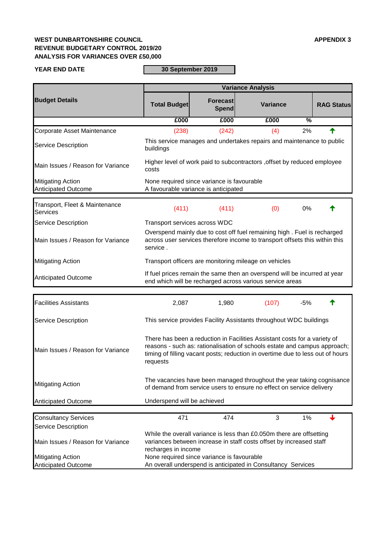## **WEST DUNBARTONSHIRE COUNCIL APPENDIX 3 REVENUE BUDGETARY CONTROL 2019/20 ANALYSIS FOR VARIANCES OVER £50,000**

#### **YEAR END DATE**

# **30 September 2019**

|                                                        | <b>Variance Analysis</b>                                                                                                                                                                                                                             |                                            |                                                                                                                                               |                   |  |  |
|--------------------------------------------------------|------------------------------------------------------------------------------------------------------------------------------------------------------------------------------------------------------------------------------------------------------|--------------------------------------------|-----------------------------------------------------------------------------------------------------------------------------------------------|-------------------|--|--|
| <b>Budget Details</b>                                  | <b>Total Budget</b>                                                                                                                                                                                                                                  | <b>Forecast</b><br>Spend                   | <b>Variance</b>                                                                                                                               | <b>RAG Status</b> |  |  |
|                                                        | £000                                                                                                                                                                                                                                                 | £000                                       | $\frac{0}{6}$<br>£000                                                                                                                         |                   |  |  |
| Corporate Asset Maintenance                            | (238)                                                                                                                                                                                                                                                | (242)                                      | 2%<br>(4)                                                                                                                                     |                   |  |  |
| <b>Service Description</b>                             | buildings                                                                                                                                                                                                                                            |                                            | This service manages and undertakes repairs and maintenance to public                                                                         |                   |  |  |
| Main Issues / Reason for Variance                      | Higher level of work paid to subcontractors, offset by reduced employee<br>costs                                                                                                                                                                     |                                            |                                                                                                                                               |                   |  |  |
| <b>Mitigating Action</b><br><b>Anticipated Outcome</b> | None required since variance is favourable<br>A favourable variance is anticipated                                                                                                                                                                   |                                            |                                                                                                                                               |                   |  |  |
| Transport, Fleet & Maintenance<br><b>Services</b>      | (411)                                                                                                                                                                                                                                                | (411)                                      | (0)<br>0%                                                                                                                                     |                   |  |  |
| <b>Service Description</b>                             | Transport services across WDC                                                                                                                                                                                                                        |                                            |                                                                                                                                               |                   |  |  |
| Main Issues / Reason for Variance                      | Overspend mainly due to cost off fuel remaining high. Fuel is recharged<br>across user services therefore income to transport offsets this within this<br>service.                                                                                   |                                            |                                                                                                                                               |                   |  |  |
| <b>Mitigating Action</b>                               | Transport officers are monitoring mileage on vehicles                                                                                                                                                                                                |                                            |                                                                                                                                               |                   |  |  |
| <b>Anticipated Outcome</b>                             | If fuel prices remain the same then an overspend will be incurred at year<br>end which will be recharged across various service areas                                                                                                                |                                            |                                                                                                                                               |                   |  |  |
| <b>Facilities Assistants</b>                           | 2,087                                                                                                                                                                                                                                                | 1,980                                      | (107)<br>$-5%$                                                                                                                                |                   |  |  |
| <b>Service Description</b>                             | This service provides Facility Assistants throughout WDC buildings                                                                                                                                                                                   |                                            |                                                                                                                                               |                   |  |  |
| Main Issues / Reason for Variance                      | There has been a reduction in Facilities Assistant costs for a variety of<br>reasons - such as: rationalisation of schools estate and campus approach;<br>timing of filling vacant posts; reduction in overtime due to less out of hours<br>requests |                                            |                                                                                                                                               |                   |  |  |
| <b>Mitigating Action</b>                               |                                                                                                                                                                                                                                                      |                                            | The vacancies have been managed throughout the year taking cognisance<br>of demand from service users to ensure no effect on service delivery |                   |  |  |
| <b>Anticipated Outcome</b>                             | Underspend will be achieved                                                                                                                                                                                                                          |                                            |                                                                                                                                               |                   |  |  |
| <b>Consultancy Services</b>                            | 471                                                                                                                                                                                                                                                  | 474                                        | 3<br>1%                                                                                                                                       |                   |  |  |
| <b>Service Description</b>                             |                                                                                                                                                                                                                                                      |                                            |                                                                                                                                               |                   |  |  |
| Main Issues / Reason for Variance                      | While the overall variance is less than £0.050m there are offsetting<br>variances between increase in staff costs offset by increased staff<br>recharges in income                                                                                   |                                            |                                                                                                                                               |                   |  |  |
| <b>Mitigating Action</b>                               |                                                                                                                                                                                                                                                      | None required since variance is favourable |                                                                                                                                               |                   |  |  |
| Anticipated Outcome                                    |                                                                                                                                                                                                                                                      |                                            | An overall underspend is anticipated in Consultancy Services                                                                                  |                   |  |  |